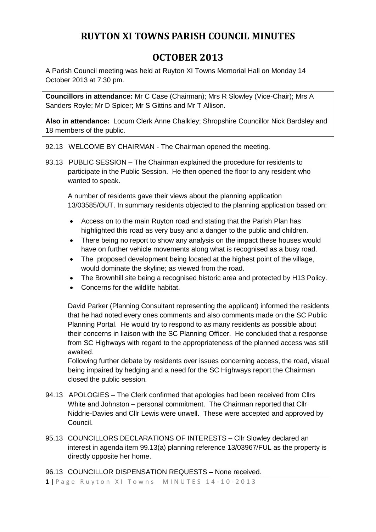## **RUYTON XI TOWNS PARISH COUNCIL MINUTES**

# **OCTOBER 2013**

A Parish Council meeting was held at Ruyton XI Towns Memorial Hall on Monday 14 October 2013 at 7.30 pm.

**Councillors in attendance:** Mr C Case (Chairman); Mrs R Slowley (Vice-Chair); Mrs A Sanders Royle; Mr D Spicer; Mr S Gittins and Mr T Allison.

**Also in attendance:** Locum Clerk Anne Chalkley; Shropshire Councillor Nick Bardsley and 18 members of the public.

92.13 WELCOME BY CHAIRMAN - The Chairman opened the meeting.

93.13 PUBLIC SESSION – The Chairman explained the procedure for residents to participate in the Public Session. He then opened the floor to any resident who wanted to speak.

A number of residents gave their views about the planning application 13/03585/OUT. In summary residents objected to the planning application based on:

- Access on to the main Ruyton road and stating that the Parish Plan has highlighted this road as very busy and a danger to the public and children.
- There being no report to show any analysis on the impact these houses would have on further vehicle movements along what is recognised as a busy road.
- The proposed development being located at the highest point of the village, would dominate the skyline; as viewed from the road.
- The Brownhill site being a recognised historic area and protected by H13 Policy.
- Concerns for the wildlife habitat.

David Parker (Planning Consultant representing the applicant) informed the residents that he had noted every ones comments and also comments made on the SC Public Planning Portal. He would try to respond to as many residents as possible about their concerns in liaison with the SC Planning Officer. He concluded that a response from SC Highways with regard to the appropriateness of the planned access was still awaited.

Following further debate by residents over issues concerning access, the road, visual being impaired by hedging and a need for the SC Highways report the Chairman closed the public session.

- 94.13 APOLOGIES The Clerk confirmed that apologies had been received from Cllrs White and Johnston – personal commitment. The Chairman reported that Cllr Niddrie-Davies and Cllr Lewis were unwell. These were accepted and approved by Council.
- 95.13 COUNCILLORS DECLARATIONS OF INTERESTS Cllr Slowley declared an interest in agenda item 99.13(a) planning reference 13/03967/FUL as the property is directly opposite her home.

96.13 COUNCILLOR DISPENSATION REQUESTS **–** None received.

**1 |** Page Ruyton XI Towns MINUTES 14-10-2013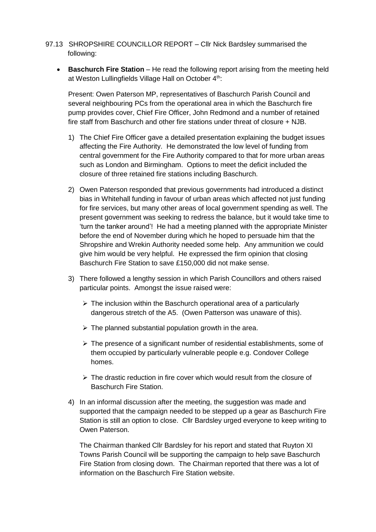- 97.13 SHROPSHIRE COUNCILLOR REPORT Cllr Nick Bardsley summarised the following:
	- **Baschurch Fire Station** He read the following report arising from the meeting held at Weston Lullingfields Village Hall on October 4<sup>th</sup>:

Present: Owen Paterson MP, representatives of Baschurch Parish Council and several neighbouring PCs from the operational area in which the Baschurch fire pump provides cover, Chief Fire Officer, John Redmond and a number of retained fire staff from Baschurch and other fire stations under threat of closure + NJB.

- 1) The Chief Fire Officer gave a detailed presentation explaining the budget issues affecting the Fire Authority. He demonstrated the low level of funding from central government for the Fire Authority compared to that for more urban areas such as London and Birmingham. Options to meet the deficit included the closure of three retained fire stations including Baschurch.
- 2) Owen Paterson responded that previous governments had introduced a distinct bias in Whitehall funding in favour of urban areas which affected not just funding for fire services, but many other areas of local government spending as well. The present government was seeking to redress the balance, but it would take time to 'turn the tanker around'! He had a meeting planned with the appropriate Minister before the end of November during which he hoped to persuade him that the Shropshire and Wrekin Authority needed some help. Any ammunition we could give him would be very helpful. He expressed the firm opinion that closing Baschurch Fire Station to save £150,000 did not make sense.
- 3) There followed a lengthy session in which Parish Councillors and others raised particular points. Amongst the issue raised were:
	- $\triangleright$  The inclusion within the Baschurch operational area of a particularly dangerous stretch of the A5. (Owen Patterson was unaware of this).
	- $\triangleright$  The planned substantial population growth in the area.
	- $\triangleright$  The presence of a significant number of residential establishments, some of them occupied by particularly vulnerable people e.g. Condover College homes.
	- $\geq$  The drastic reduction in fire cover which would result from the closure of Baschurch Fire Station.
- 4) In an informal discussion after the meeting, the suggestion was made and supported that the campaign needed to be stepped up a gear as Baschurch Fire Station is still an option to close. Cllr Bardsley urged everyone to keep writing to Owen Paterson.

The Chairman thanked Cllr Bardsley for his report and stated that Ruyton XI Towns Parish Council will be supporting the campaign to help save Baschurch Fire Station from closing down. The Chairman reported that there was a lot of information on the Baschurch Fire Station website.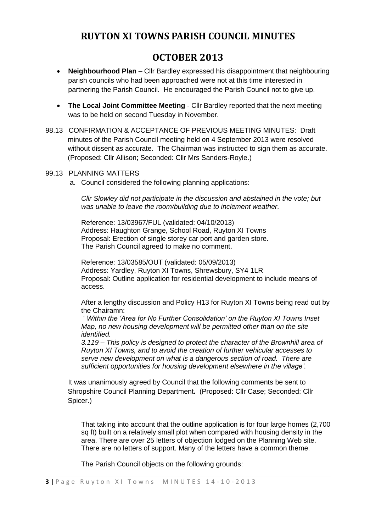### **RUYTON XI TOWNS PARISH COUNCIL MINUTES**

## **OCTOBER 2013**

- **Neighbourhood Plan** Cllr Bardley expressed his disappointment that neighbouring parish councils who had been approached were not at this time interested in partnering the Parish Council. He encouraged the Parish Council not to give up.
- **The Local Joint Committee Meeting Cllr Bardley reported that the next meeting** was to be held on second Tuesday in November.
- 98.13 CONFIRMATION & ACCEPTANCE OF PREVIOUS MEETING MINUTES: Draft minutes of the Parish Council meeting held on 4 September 2013 were resolved without dissent as accurate. The Chairman was instructed to sign them as accurate. (Proposed: Cllr Allison; Seconded: Cllr Mrs Sanders-Royle.)

### 99.13 PLANNING MATTERS

a. Council considered the following planning applications:

*Cllr Slowley did not participate in the discussion and abstained in the vote; but was unable to leave the room/building due to inclement weather.*

Reference: 13/03967/FUL (validated: 04/10/2013) Address: Haughton Grange, School Road, Ruyton XI Towns Proposal: Erection of single storey car port and garden store. The Parish Council agreed to make no comment.

Reference: 13/03585/OUT (validated: 05/09/2013) Address: Yardley, Ruyton XI Towns, Shrewsbury, SY4 1LR Proposal: Outline application for residential development to include means of access.

After a lengthy discussion and Policy H13 for Ruyton XI Towns being read out by the Chairamn:

' *Within the 'Area for No Further Consolidation' on the Ruyton XI Towns Inset Map, no new housing development will be permitted other than on the site identified.*

*3.119 – This policy is designed to protect the character of the Brownhill area of Ruyton XI Towns, and to avoid the creation of further vehicular accesses to serve new development on what is a dangerous section of road. There are sufficient opportunities for housing development elsewhere in the village'*.

It was unanimously agreed by Council that the following comments be sent to Shropshire Council Planning Department**.** (Proposed: Cllr Case; Seconded: Cllr Spicer.)

That taking into account that the outline application is for four large homes (2,700 sq ft) built on a relatively small plot when compared with housing density in the area. There are over 25 letters of objection lodged on the Planning Web site. There are no letters of support. Many of the letters have a common theme.

The Parish Council objects on the following grounds: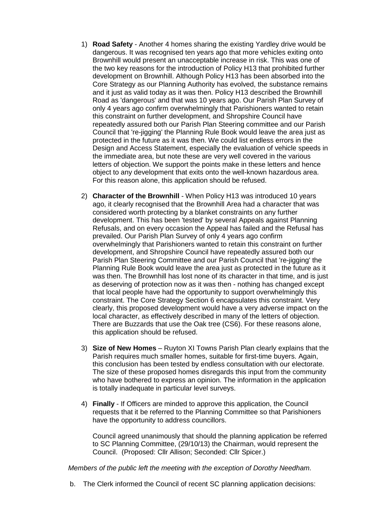- 1) **Road Safety** Another 4 homes sharing the existing Yardley drive would be dangerous. It was recognised ten years ago that more vehicles exiting onto Brownhill would present an unacceptable increase in risk. This was one of the two key reasons for the introduction of Policy H13 that prohibited further development on Brownhill. Although Policy H13 has been absorbed into the Core Strategy as our Planning Authority has evolved, the substance remains and it just as valid today as it was then. Policy H13 described the Brownhill Road as 'dangerous' and that was 10 years ago. Our Parish Plan Survey of only 4 years ago confirm overwhelmingly that Parishioners wanted to retain this constraint on further development, and Shropshire Council have repeatedly assured both our Parish Plan Steering committee and our Parish Council that 're-jigging' the Planning Rule Book would leave the area just as protected in the future as it was then. We could list endless errors in the Design and Access Statement, especially the evaluation of vehicle speeds in the immediate area, but note these are very well covered in the various letters of objection. We support the points make in these letters and hence object to any development that exits onto the well-known hazardous area. For this reason alone, this application should be refused.
- 2) **Character of the Brownhill** When Policy H13 was introduced 10 years ago, it clearly recognised that the Brownhill Area had a character that was considered worth protecting by a blanket constraints on any further development. This has been 'tested' by several Appeals against Planning Refusals, and on every occasion the Appeal has failed and the Refusal has prevailed. Our Parish Plan Survey of only 4 years ago confirm overwhelmingly that Parishioners wanted to retain this constraint on further development, and Shropshire Council have repeatedly assured both our Parish Plan Steering Committee and our Parish Council that 're-jigging' the Planning Rule Book would leave the area just as protected in the future as it was then. The Brownhill has lost none of its character in that time, and is just as deserving of protection now as it was then - nothing has changed except that local people have had the opportunity to support overwhelmingly this constraint. The Core Strategy Section 6 encapsulates this constraint. Very clearly, this proposed development would have a very adverse impact on the local character, as effectively described in many of the letters of objection. There are Buzzards that use the Oak tree (CS6). For these reasons alone, this application should be refused.
- 3) **Size of New Homes** Ruyton XI Towns Parish Plan clearly explains that the Parish requires much smaller homes, suitable for first-time buyers. Again, this conclusion has been tested by endless consultation with our electorate. The size of these proposed homes disregards this input from the community who have bothered to express an opinion. The information in the application is totally inadequate in particular level surveys.
- 4) **Finally** If Officers are minded to approve this application, the Council requests that it be referred to the Planning Committee so that Parishioners have the opportunity to address councillors.

Council agreed unanimously that should the planning application be referred to SC Planning Committee, (29/10/13) the Chairman, would represent the Council. (Proposed: Cllr Allison; Seconded: Cllr Spicer.)

*Members of the public left the meeting with the exception of Dorothy Needham.*

b. The Clerk informed the Council of recent SC planning application decisions: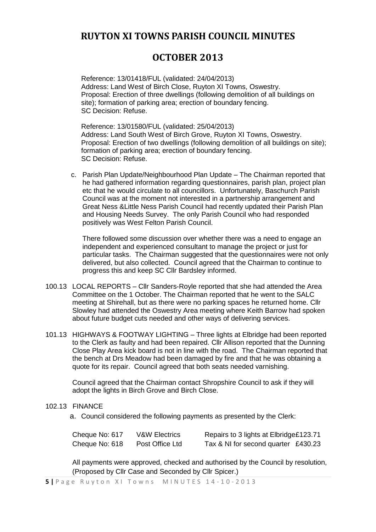### **RUYTON XI TOWNS PARISH COUNCIL MINUTES**

## **OCTOBER 2013**

Reference: 13/01418/FUL (validated: 24/04/2013) Address: Land West of Birch Close, Ruyton XI Towns, Oswestry. Proposal: Erection of three dwellings (following demolition of all buildings on site); formation of parking area; erection of boundary fencing. SC Decision: Refuse.

Reference: 13/01580/FUL (validated: 25/04/2013) Address: Land South West of Birch Grove, Ruyton XI Towns, Oswestry. Proposal: Erection of two dwellings (following demolition of all buildings on site); formation of parking area; erection of boundary fencing. SC Decision: Refuse.

c. Parish Plan Update/Neighbourhood Plan Update – The Chairman reported that he had gathered information regarding questionnaires, parish plan, project plan etc that he would circulate to all councillors. Unfortunately, Baschurch Parish Council was at the moment not interested in a partnership arrangement and Great Ness &Little Ness Parish Council had recently updated their Parish Plan and Housing Needs Survey. The only Parish Council who had responded positively was West Felton Parish Council.

There followed some discussion over whether there was a need to engage an independent and experienced consultant to manage the project or just for particular tasks. The Chairman suggested that the questionnaires were not only delivered, but also collected. Council agreed that the Chairman to continue to progress this and keep SC Cllr Bardsley informed.

- 100.13 LOCAL REPORTS Cllr Sanders-Royle reported that she had attended the Area Committee on the 1 October. The Chairman reported that he went to the SALC meeting at Shirehall, but as there were no parking spaces he returned home. Cllr Slowley had attended the Oswestry Area meeting where Keith Barrow had spoken about future budget cuts needed and other ways of delivering services.
- 101.13 HIGHWAYS & FOOTWAY LIGHTING Three lights at Elbridge had been reported to the Clerk as faulty and had been repaired. Cllr Allison reported that the Dunning Close Play Area kick board is not in line with the road. The Chairman reported that the bench at Drs Meadow had been damaged by fire and that he was obtaining a quote for its repair. Council agreed that both seats needed varnishing.

Council agreed that the Chairman contact Shropshire Council to ask if they will adopt the lights in Birch Grove and Birch Close.

#### 102.13 FINANCE

a. Council considered the following payments as presented by the Clerk:

| Cheque No: 617 | <b>V&amp;W Electrics</b> | Repairs to 3 lights at Elbridge£123.71 |  |
|----------------|--------------------------|----------------------------------------|--|
| Cheque No: 618 | Post Office Ltd          | Tax & NI for second quarter £430.23    |  |

All payments were approved, checked and authorised by the Council by resolution, (Proposed by Cllr Case and Seconded by Cllr Spicer.)